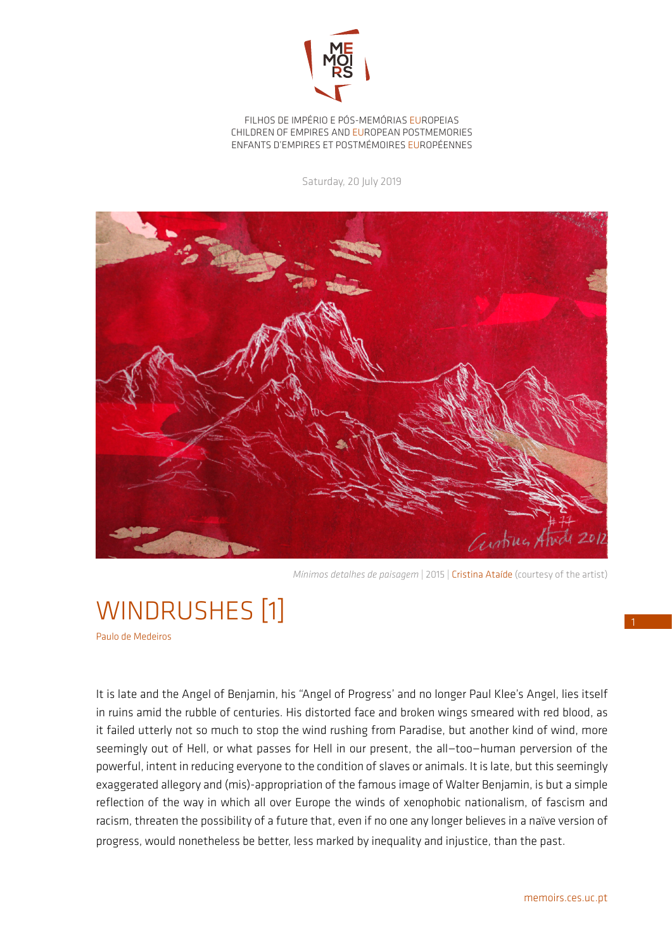

FILHOS DE IMPÉRIO E PÓS-MEMÓRIAS EUROPEIAS CHILDREN OF EMPIRES AND EUROPEAN POSTMEMORIES ENFANTS D'EMPIRES ET POSTMÉMOIRES EUROPÉENNES

Saturday, 20 July 2019



*Mínimos detalhes de paisagem* | 2015 | Cristina Ataíde (courtesy of the artist)

## WINDRUSHES [1]

Paulo de Medeiros

It is late and the Angel of Benjamin, his "Angel of Progress' and no longer Paul Klee's Angel, lies itself in ruins amid the rubble of centuries. His distorted face and broken wings smeared with red blood, as it failed utterly not so much to stop the wind rushing from Paradise, but another kind of wind, more seemingly out of Hell, or what passes for Hell in our present, the all—too—human perversion of the powerful, intent in reducing everyone to the condition of slaves or animals. It is late, but this seemingly exaggerated allegory and (mis)-appropriation of the famous image of Walter Benjamin, is but a simple reflection of the way in which all over Europe the winds of xenophobic nationalism, of fascism and racism, threaten the possibility of a future that, even if no one any longer believes in a naïve version of progress, would nonetheless be better, less marked by inequality and injustice, than the past.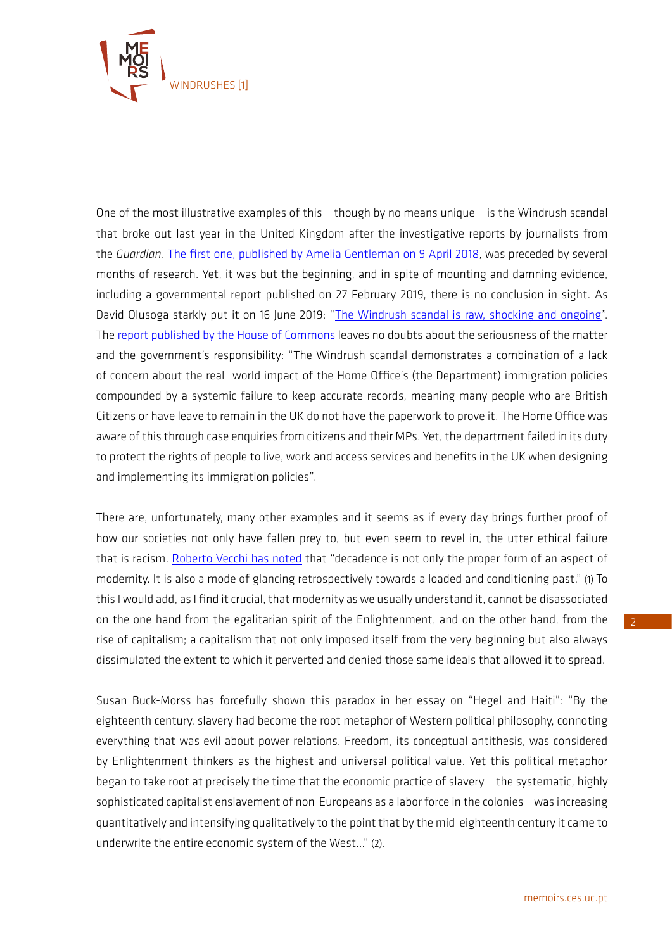

One of the most illustrative examples of this – though by no means unique – is the Windrush scandal that broke out last year in the United Kingdom after the investigative reports by journalists from the *Guardian*. [The first one, published by Amelia Gentleman on 9 April 2018](https://www.theguardian.com/uk-news/2018/apr/09/special-needs-teacher-uk-50-years-loses-job-immigration-status), was preceded by several months of research. Yet, it was but the beginning, and in spite of mounting and damning evidence, including a governmental report published on 27 February 2019, there is no conclusion in sight. As David Olusoga starkly put it on 16 June 2019: "[The Windrush scandal is raw, shocking and ongoing](https://www.theguardian.com/uk-news/2019/jun/16/windrush-scandal-the-long-betrayal-archived-documents-david-olusoga)". The [report published by the House of Commons](https://publications.parliament.uk/pa/cm201719/cmselect/cmpubacc/1518/1518.pdf) leaves no doubts about the seriousness of the matter and the government's responsibility: "The Windrush scandal demonstrates a combination of a lack of concern about the real- world impact of the Home Office's (the Department) immigration policies compounded by a systemic failure to keep accurate records, meaning many people who are British Citizens or have leave to remain in the UK do not have the paperwork to prove it. The Home Office was aware of this through case enquiries from citizens and their MPs. Yet, the department failed in its duty to protect the rights of people to live, work and access services and benefits in the UK when designing and implementing its immigration policies".

There are, unfortunately, many other examples and it seems as if every day brings further proof of how our societies not only have fallen prey to, but even seem to revel in, the utter ethical failure that is racism. [Roberto Vecchi has noted](http://memoirs.ces.uc.pt/ficheiros/4_RESULTS_AND_IMPACT/4.3_NEWSLETTER/MEMOIRS_newsletter_59_RV_en.pdf) that "decadence is not only the proper form of an aspect of modernity. It is also a mode of glancing retrospectively towards a loaded and conditioning past." (1) To this I would add, as I find it crucial, that modernity as we usually understand it, cannot be disassociated on the one hand from the egalitarian spirit of the Enlightenment, and on the other hand, from the rise of capitalism; a capitalism that not only imposed itself from the very beginning but also always dissimulated the extent to which it perverted and denied those same ideals that allowed it to spread.

Susan Buck-Morss has forcefully shown this paradox in her essay on "Hegel and Haiti": "By the eighteenth century, slavery had become the root metaphor of Western political philosophy, connoting everything that was evil about power relations. Freedom, its conceptual antithesis, was considered by Enlightenment thinkers as the highest and universal political value. Yet this political metaphor began to take root at precisely the time that the economic practice of slavery – the systematic, highly sophisticated capitalist enslavement of non-Europeans as a labor force in the colonies – was increasing quantitatively and intensifying qualitatively to the point that by the mid-eighteenth century it came to underwrite the entire economic system of the West…" (2).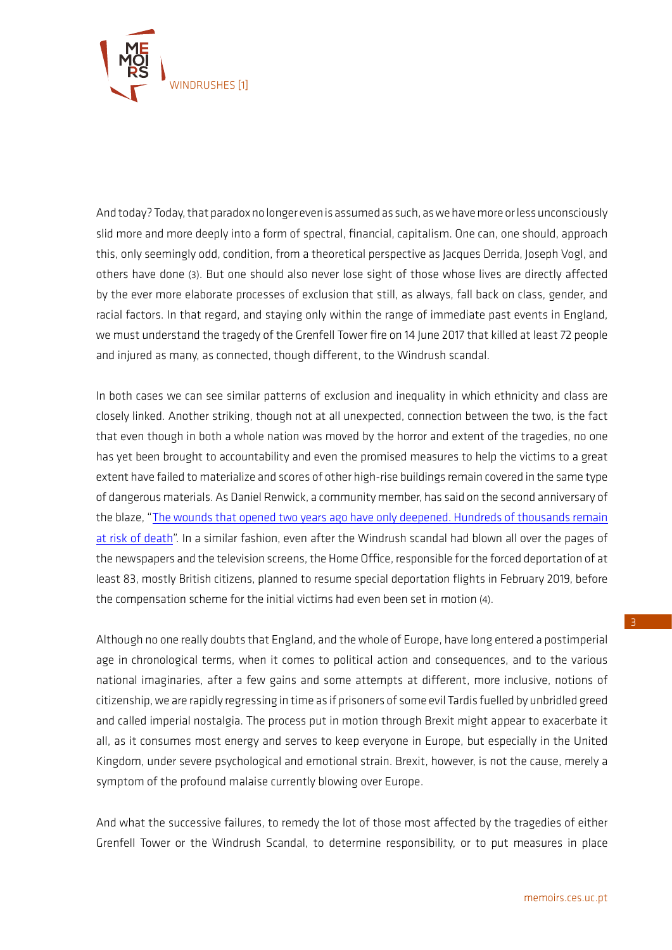

And today? Today, that paradox no longer even is assumed as such, as we have more or less unconsciously slid more and more deeply into a form of spectral, financial, capitalism. One can, one should, approach this, only seemingly odd, condition, from a theoretical perspective as Jacques Derrida, Joseph Vogl, and others have done (3). But one should also never lose sight of those whose lives are directly affected by the ever more elaborate processes of exclusion that still, as always, fall back on class, gender, and racial factors. In that regard, and staying only within the range of immediate past events in England, we must understand the tragedy of the Grenfell Tower fire on 14 June 2017 that killed at least 72 people and injured as many, as connected, though different, to the Windrush scandal.

In both cases we can see similar patterns of exclusion and inequality in which ethnicity and class are closely linked. Another striking, though not at all unexpected, connection between the two, is the fact that even though in both a whole nation was moved by the horror and extent of the tragedies, no one has yet been brought to accountability and even the promised measures to help the victims to a great extent have failed to materialize and scores of other high-rise buildings remain covered in the same type of dangerous materials. As Daniel Renwick, a community member, has said on the second anniversary of the blaze, "[The wounds that opened two years ago have only deepened. Hundreds of thousands remain](https://www.theguardian.com/commentisfree/2019/jun/14/grenfell-tower-fire-two-years-firefighters)  [at risk of death](https://www.theguardian.com/commentisfree/2019/jun/14/grenfell-tower-fire-two-years-firefighters)". In a similar fashion, even after the Windrush scandal had blown all over the pages of the newspapers and the television screens, the Home Office, responsible for the forced deportation of at least 83, mostly British citizens, planned to resume special deportation flights in February 2019, before the compensation scheme for the initial victims had even been set in motion (4).

Although no one really doubts that England, and the whole of Europe, have long entered a postimperial age in chronological terms, when it comes to political action and consequences, and to the various national imaginaries, after a few gains and some attempts at different, more inclusive, notions of citizenship, we are rapidly regressing in time as if prisoners of some evil Tardis fuelled by unbridled greed and called imperial nostalgia. The process put in motion through Brexit might appear to exacerbate it all, as it consumes most energy and serves to keep everyone in Europe, but especially in the United Kingdom, under severe psychological and emotional strain. Brexit, however, is not the cause, merely a symptom of the profound malaise currently blowing over Europe.

And what the successive failures, to remedy the lot of those most affected by the tragedies of either Grenfell Tower or the Windrush Scandal, to determine responsibility, or to put measures in place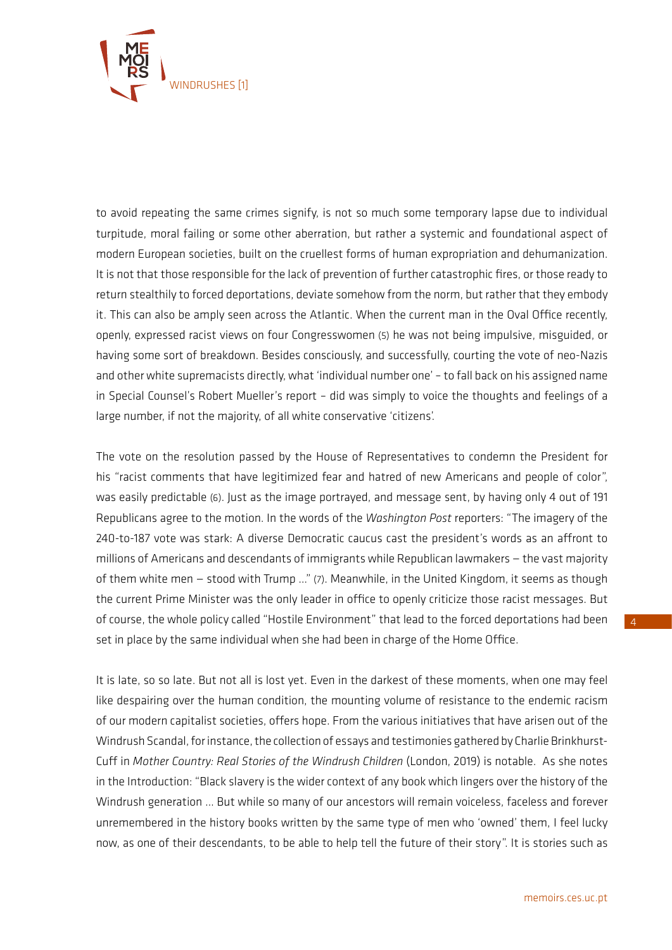

to avoid repeating the same crimes signify, is not so much some temporary lapse due to individual turpitude, moral failing or some other aberration, but rather a systemic and foundational aspect of modern European societies, built on the cruellest forms of human expropriation and dehumanization. It is not that those responsible for the lack of prevention of further catastrophic fires, or those ready to return stealthily to forced deportations, deviate somehow from the norm, but rather that they embody it. This can also be amply seen across the Atlantic. When the current man in the Oval Office recently, openly, expressed racist views on four Congresswomen (5) he was not being impulsive, misguided, or having some sort of breakdown. Besides consciously, and successfully, courting the vote of neo-Nazis and other white supremacists directly, what 'individual number one' – to fall back on his assigned name in Special Counsel's Robert Mueller's report – did was simply to voice the thoughts and feelings of a large number, if not the majority, of all white conservative 'citizens'.

The vote on the resolution passed by the House of Representatives to condemn the President for his "racist comments that have legitimized fear and hatred of new Americans and people of color", was easily predictable (6). Just as the image portrayed, and message sent, by having only 4 out of 191 Republicans agree to the motion. In the words of the *Washington Post* reporters: "The imagery of the 240-to-187 vote was stark: A diverse Democratic caucus cast the president's words as an affront to millions of Americans and descendants of immigrants while Republican lawmakers — the vast majority of them white men — stood with Trump …" (7). Meanwhile, in the United Kingdom, it seems as though the current Prime Minister was the only leader in office to openly criticize those racist messages. But of course, the whole policy called "Hostile Environment" that lead to the forced deportations had been set in place by the same individual when she had been in charge of the Home Office.

It is late, so so late. But not all is lost yet. Even in the darkest of these moments, when one may feel like despairing over the human condition, the mounting volume of resistance to the endemic racism of our modern capitalist societies, offers hope. From the various initiatives that have arisen out of the Windrush Scandal, for instance, the collection of essays and testimonies gathered by Charlie Brinkhurst-Cuff in *Mother Country: Real Stories of the Windrush Children* (London, 2019) is notable. As she notes in the Introduction: "Black slavery is the wider context of any book which lingers over the history of the Windrush generation … But while so many of our ancestors will remain voiceless, faceless and forever unremembered in the history books written by the same type of men who 'owned' them, I feel lucky now, as one of their descendants, to be able to help tell the future of their story". It is stories such as